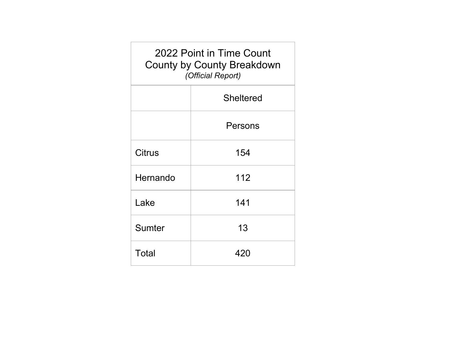| 2022 Point in Time Count<br><b>County by County Breakdown</b><br>(Official Report) |                  |  |  |  |  |  |  |  |
|------------------------------------------------------------------------------------|------------------|--|--|--|--|--|--|--|
|                                                                                    | <b>Sheltered</b> |  |  |  |  |  |  |  |
|                                                                                    | Persons          |  |  |  |  |  |  |  |
| Citrus                                                                             | 154              |  |  |  |  |  |  |  |
| Hernando                                                                           | 112              |  |  |  |  |  |  |  |
| Lake                                                                               | 141              |  |  |  |  |  |  |  |
| Sumter                                                                             | 13               |  |  |  |  |  |  |  |
| Total                                                                              | 420              |  |  |  |  |  |  |  |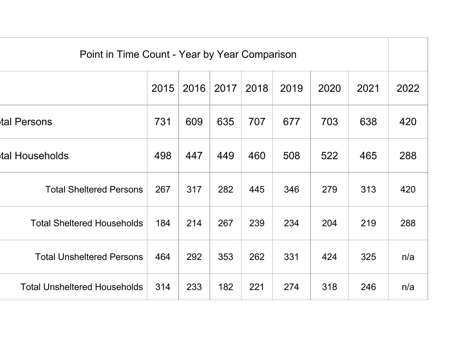| Point in Time Count - Year by Year Comparison |      |      |      |      |      |      |      |      |  |
|-----------------------------------------------|------|------|------|------|------|------|------|------|--|
|                                               | 2015 | 2016 | 2017 | 2018 | 2019 | 2020 | 2021 | 2022 |  |
| tal Persons                                   | 731  | 609  | 635  | 707  | 677  | 703  | 638  | 420  |  |
| tal Households                                | 498  | 447  | 449  | 460  | 508  | 522  | 465  | 288  |  |
| <b>Total Sheltered Persons</b>                | 267  | 317  | 282  | 445  | 346  | 279  | 313  | 420  |  |
| <b>Total Sheltered Households</b>             | 184  | 214  | 267  | 239  | 234  | 204  | 219  | 288  |  |
| <b>Total Unsheltered Persons</b>              | 464  | 292  | 353  | 262  | 331  | 424  | 325  | n/a  |  |
| <b>Total Unsheltered Households</b>           | 314  | 233  | 182  | 221  | 274  | 318  | 246  | n/a  |  |